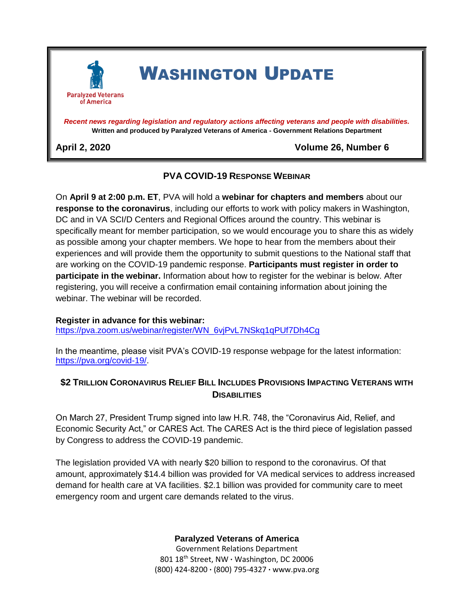

*Recent news regarding legislation and regulatory actions affecting veterans and people with disabilities.* **Written and produced by Paralyzed Veterans of America - Government Relations Department**

**April 2, 2020 Volume 26, Number 6**

## **PVA COVID-19 RESPONSE WEBINAR**

On **April 9 at 2:00 p.m. ET**, PVA will hold a **webinar for chapters and members** about our **response to the coronavirus**, including our efforts to work with policy makers in Washington, DC and in VA SCI/D Centers and Regional Offices around the country. This webinar is specifically meant for member participation, so we would encourage you to share this as widely as possible among your chapter members. We hope to hear from the members about their experiences and will provide them the opportunity to submit questions to the National staff that are working on the COVID-19 pandemic response. **Participants must register in order to participate in the webinar.** Information about how to register for the webinar is below. After registering, you will receive a confirmation email containing information about joining the webinar. The webinar will be recorded.

## **Register in advance for this webinar:**

[https://pva.zoom.us/webinar/register/WN\\_6vjPvL7NSkq1qPUf7Dh4Cg](https://pva.zoom.us/webinar/register/WN_6vjPvL7NSkq1qPUf7Dh4Cg)

In the meantime, please visit PVA's COVID-19 response webpage for the latest information: [https://pva.org/covid-19/.](https://pva.org/covid-19/)

## **\$2 TRILLION CORONAVIRUS RELIEF BILL INCLUDES PROVISIONS IMPACTING VETERANS WITH DISABILITIES**

On March 27, President Trump signed into law H.R. 748, the "Coronavirus Aid, Relief, and Economic Security Act," or CARES Act. The CARES Act is the third piece of legislation passed by Congress to address the COVID-19 pandemic.

The legislation provided VA with nearly \$20 billion to respond to the coronavirus. Of that amount, approximately \$14.4 billion was provided for VA medical services to address increased demand for health care at VA facilities. \$2.1 billion was provided for community care to meet emergency room and urgent care demands related to the virus.

**Paralyzed Veterans of America**

Government Relations Department 801 18th Street, NW **∙** Washington, DC 20006 (800) 424-8200 **∙** (800) 795-4327 **∙** www.pva.org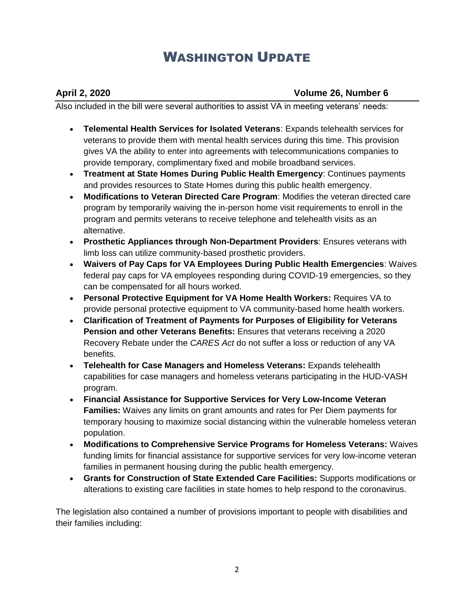### **April 2, 2020 Volume 26, Number 6**

Also included in the bill were several authorities to assist VA in meeting veterans' needs:

- **Telemental Health Services for Isolated Veterans**: Expands telehealth services for veterans to provide them with mental health services during this time. This provision gives VA the ability to enter into agreements with telecommunications companies to provide temporary, complimentary fixed and mobile broadband services.
- **Treatment at State Homes During Public Health Emergency**: Continues payments and provides resources to State Homes during this public health emergency.
- **Modifications to Veteran Directed Care Program**: Modifies the veteran directed care program by temporarily waiving the in-person home visit requirements to enroll in the program and permits veterans to receive telephone and telehealth visits as an alternative.
- **Prosthetic Appliances through Non-Department Providers**: Ensures veterans with limb loss can utilize community-based prosthetic providers.
- **Waivers of Pay Caps for VA Employees During Public Health Emergencies**: Waives federal pay caps for VA employees responding during COVID-19 emergencies, so they can be compensated for all hours worked.
- **Personal Protective Equipment for VA Home Health Workers:** Requires VA to provide personal protective equipment to VA community-based home health workers.
- **Clarification of Treatment of Payments for Purposes of Eligibility for Veterans Pension and other Veterans Benefits:** Ensures that veterans receiving a 2020 Recovery Rebate under the *CARES Act* do not suffer a loss or reduction of any VA benefits.
- **Telehealth for Case Managers and Homeless Veterans:** Expands telehealth capabilities for case managers and homeless veterans participating in the HUD-VASH program.
- **Financial Assistance for Supportive Services for Very Low-Income Veteran Families:** Waives any limits on grant amounts and rates for Per Diem payments for temporary housing to maximize social distancing within the vulnerable homeless veteran population.
- **Modifications to Comprehensive Service Programs for Homeless Veterans:** Waives funding limits for financial assistance for supportive services for very low-income veteran families in permanent housing during the public health emergency.
- **Grants for Construction of State Extended Care Facilities:** Supports modifications or alterations to existing care facilities in state homes to help respond to the coronavirus.

The legislation also contained a number of provisions important to people with disabilities and their families including: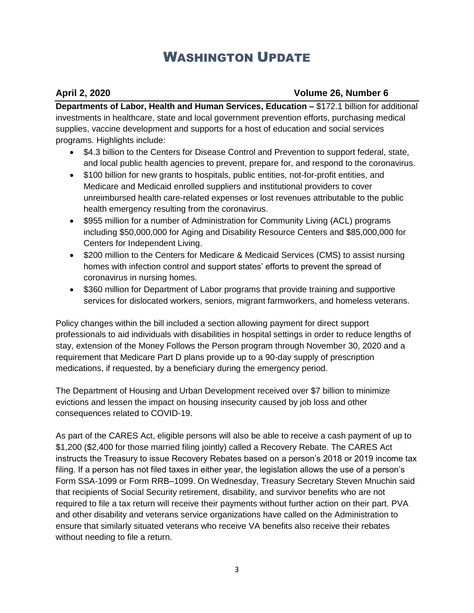## **April 2, 2020 Volume 26, Number 6**

**Departments of Labor, Health and Human Services, Education –** \$172.1 billion for additional investments in healthcare, state and local government prevention efforts, purchasing medical supplies, vaccine development and supports for a host of education and social services programs. Highlights include:

- \$4.3 billion to the Centers for Disease Control and Prevention to support federal, state, and local public health agencies to prevent, prepare for, and respond to the coronavirus.
- \$100 billion for new grants to hospitals, public entities, not-for-profit entities, and Medicare and Medicaid enrolled suppliers and institutional providers to cover unreimbursed health care-related expenses or lost revenues attributable to the public health emergency resulting from the coronavirus.
- \$955 million for a number of Administration for Community Living (ACL) programs including \$50,000,000 for Aging and Disability Resource Centers and \$85,000,000 for Centers for Independent Living.
- \$200 million to the Centers for Medicare & Medicaid Services (CMS) to assist nursing homes with infection control and support states' efforts to prevent the spread of coronavirus in nursing homes.
- \$360 million for Department of Labor programs that provide training and supportive services for dislocated workers, seniors, migrant farmworkers, and homeless veterans.

Policy changes within the bill included a section allowing payment for direct support professionals to aid individuals with disabilities in hospital settings in order to reduce lengths of stay, extension of the Money Follows the Person program through November 30, 2020 and a requirement that Medicare Part D plans provide up to a 90-day supply of prescription medications, if requested, by a beneficiary during the emergency period.

The Department of Housing and Urban Development received over \$7 billion to minimize evictions and lessen the impact on housing insecurity caused by job loss and other consequences related to COVID-19.

As part of the CARES Act, eligible persons will also be able to receive a cash payment of up to \$1,200 (\$2,400 for those married filing jointly) called a Recovery Rebate. The CARES Act instructs the Treasury to issue Recovery Rebates based on a person's 2018 or 2019 income tax filing. If a person has not filed taxes in either year, the legislation allows the use of a person's Form SSA-1099 or Form RRB–1099. On Wednesday, Treasury Secretary Steven Mnuchin said that recipients of Social Security retirement, disability, and survivor benefits who are not required to file a tax return will receive their payments without further action on their part. PVA and other disability and veterans service organizations have called on the Administration to ensure that similarly situated veterans who receive VA benefits also receive their rebates without needing to file a return.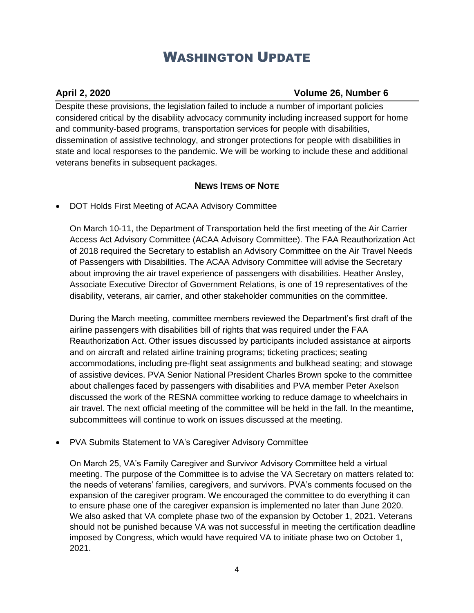### **April 2, 2020 Volume 26, Number 6**

Despite these provisions, the legislation failed to include a number of important policies considered critical by the disability advocacy community including increased support for home and community-based programs, transportation services for people with disabilities, dissemination of assistive technology, and stronger protections for people with disabilities in state and local responses to the pandemic. We will be working to include these and additional veterans benefits in subsequent packages.

## **NEWS ITEMS OF NOTE**

• DOT Holds First Meeting of ACAA Advisory Committee

On March 10-11, the Department of Transportation held the first meeting of the Air Carrier Access Act Advisory Committee (ACAA Advisory Committee). The FAA Reauthorization Act of 2018 required the Secretary to establish an Advisory Committee on the Air Travel Needs of Passengers with Disabilities. The ACAA Advisory Committee will advise the Secretary about improving the air travel experience of passengers with disabilities. Heather Ansley, Associate Executive Director of Government Relations, is one of 19 representatives of the disability, veterans, air carrier, and other stakeholder communities on the committee.

During the March meeting, committee members reviewed the Department's first draft of the airline passengers with disabilities bill of rights that was required under the FAA Reauthorization Act. Other issues discussed by participants included assistance at airports and on aircraft and related airline training programs; ticketing practices; seating accommodations, including pre-flight seat assignments and bulkhead seating; and stowage of assistive devices. PVA Senior National President Charles Brown spoke to the committee about challenges faced by passengers with disabilities and PVA member Peter Axelson discussed the work of the RESNA committee working to reduce damage to wheelchairs in air travel. The next official meeting of the committee will be held in the fall. In the meantime, subcommittees will continue to work on issues discussed at the meeting.

• PVA Submits Statement to VA's Caregiver Advisory Committee

On March 25, VA's Family Caregiver and Survivor Advisory Committee held a virtual meeting. The purpose of the Committee is to advise the VA Secretary on matters related to: the needs of veterans' families, caregivers, and survivors. PVA's comments focused on the expansion of the caregiver program. We encouraged the committee to do everything it can to ensure phase one of the caregiver expansion is implemented no later than June 2020. We also asked that VA complete phase two of the expansion by October 1, 2021. Veterans should not be punished because VA was not successful in meeting the certification deadline imposed by Congress, which would have required VA to initiate phase two on October 1, 2021.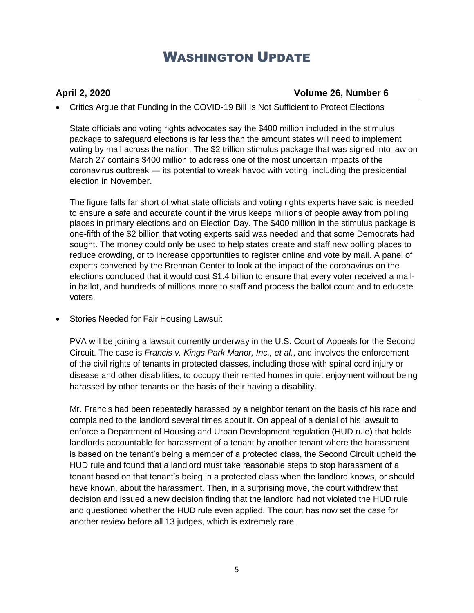### **April 2, 2020 Volume 26, Number 6**

• Critics Argue that Funding in the COVID-19 Bill Is Not Sufficient to Protect Elections

State officials and voting rights advocates say the \$400 million included in the stimulus package to safeguard elections is far less than the amount states will need to implement voting by mail across the nation. The \$2 trillion stimulus package that was signed into law on March 27 contains \$400 million to address one of the most uncertain impacts of the coronavirus outbreak — its potential to wreak havoc with voting, including the presidential election in November.

The figure falls far short of what state officials and voting rights experts have said is needed to ensure a safe and accurate count if the virus keeps millions of people away from polling places in primary elections and on Election Day. The \$400 million in the stimulus package is one-fifth of the \$2 billion that voting experts said was needed and that some Democrats had sought. The money could only be used to help states create and staff new polling places to reduce crowding, or to increase opportunities to register online and vote by mail. A panel of experts convened by the Brennan Center to look at the impact of the coronavirus on the elections concluded that it would cost \$1.4 billion to ensure that every voter received a mailin ballot, and hundreds of millions more to staff and process the ballot count and to educate voters.

• Stories Needed for Fair Housing Lawsuit

PVA will be joining a lawsuit currently underway in the U.S. Court of Appeals for the Second Circuit. The case is *Francis v. Kings Park Manor, Inc., et al.*, and involves the enforcement of the civil rights of tenants in protected classes, including those with spinal cord injury or disease and other disabilities, to occupy their rented homes in quiet enjoyment without being harassed by other tenants on the basis of their having a disability.

Mr. Francis had been repeatedly harassed by a neighbor tenant on the basis of his race and complained to the landlord several times about it. On appeal of a denial of his lawsuit to enforce a Department of Housing and Urban Development regulation (HUD rule) that holds landlords accountable for harassment of a tenant by another tenant where the harassment is based on the tenant's being a member of a protected class, the Second Circuit upheld the HUD rule and found that a landlord must take reasonable steps to stop harassment of a tenant based on that tenant's being in a protected class when the landlord knows, or should have known, about the harassment. Then, in a surprising move, the court withdrew that decision and issued a new decision finding that the landlord had not violated the HUD rule and questioned whether the HUD rule even applied. The court has now set the case for another review before all 13 judges, which is extremely rare.